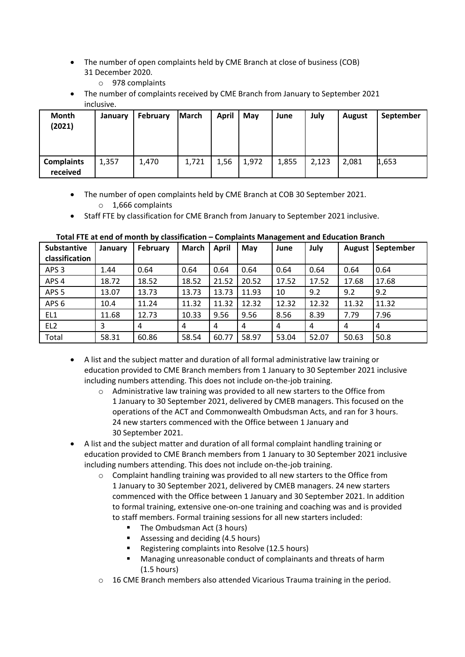- • The number of open complaints held by CME Branch at close of business (COB) 31 December 2020.
	- o 978 complaints
- inclusive. • The number of complaints received by CME Branch from January to September 2021

| Month<br>(2021)               | January | February | <b>March</b> | April | Mav   | June  | July  | <b>August</b> | September |
|-------------------------------|---------|----------|--------------|-------|-------|-------|-------|---------------|-----------|
| <b>Complaints</b><br>received | 1,357   | 1,470    | 1,721        | 1,56  | 1,972 | 1,855 | 2,123 | 2,081         | 1,653     |

- • The number of open complaints held by CME Branch at COB 30 September 2021. o 1,666 complaints
- Staff FTE by classification for CME Branch from January to September 2021 inclusive.

| <b>Substantive</b><br>classification | January | February | <b>March</b> | <b>April</b> | May   | June  | July  | <b>August</b> | September |
|--------------------------------------|---------|----------|--------------|--------------|-------|-------|-------|---------------|-----------|
| APS <sub>3</sub>                     | 1.44    | 0.64     | 0.64         | 0.64         | 0.64  | 0.64  | 0.64  | 0.64          | 0.64      |
| APS <sub>4</sub>                     | 18.72   | 18.52    | 18.52        | 21.52        | 20.52 | 17.52 | 17.52 | 17.68         | 17.68     |
| APS <sub>5</sub>                     | 13.07   | 13.73    | 13.73        | 13.73        | 11.93 | 10    | 9.2   | 9.2           | 9.2       |
| APS <sub>6</sub>                     | 10.4    | 11.24    | 11.32        | 11.32        | 12.32 | 12.32 | 12.32 | 11.32         | 11.32     |
| EL1                                  | 11.68   | 12.73    | 10.33        | 9.56         | 9.56  | 8.56  | 8.39  | 7.79          | 7.96      |
| EL <sub>2</sub>                      | 3       | 4        | 4            | 4            | 4     | 4     | 4     | 4             | 4         |
| Total                                | 58.31   | 60.86    | 58.54        | 60.77        | 58.97 | 53.04 | 52.07 | 50.63         | 50.8      |

## **Total FTE at end of month by classification – Complaints Management and Education Branch**

- • A list and the subject matter and duration of all formal administrative law training or education provided to CME Branch members from 1 January to 30 September 2021 inclusive including numbers attending. This does not include on-the-job training.
	- 1 January to 30 September 2021, delivered by CMEB managers. This focused on the 30 September 2021. o Administrative law training was provided to all new starters to the Office from operations of the ACT and Commonwealth Ombudsman Acts, and ran for 3 hours. 24 new starters commenced with the Office between 1 January and
- A list and the subject matter and duration of all formal complaint handling training or education provided to CME Branch members from 1 January to 30 September 2021 inclusive including numbers attending. This does not include on-the-job training.
	- 1 January to 30 September 2021, delivered by CMEB managers. 24 new starters commenced with the Office between 1 January and 30 September 2021. In addition  $\circ$  Complaint handling training was provided to all new starters to the Office from to formal training, extensive one-on-one training and coaching was and is provided to staff members. Formal training sessions for all new starters included:
		- The Ombudsman Act (3 hours)
		- Assessing and deciding (4.5 hours)
		- Registering complaints into Resolve (12.5 hours)
		- (1.5 hours) Managing unreasonable conduct of complainants and threats of harm
	- o 16 CME Branch members also attended Vicarious Trauma training in the period.